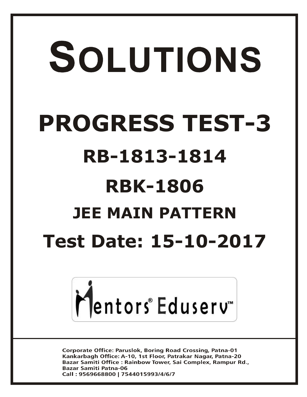# SOLUTIONS **PROGRESS TEST-3 RB-1813-1814 RBK-1806 JEE MAIN PATTERNTest Date: 15-10-2017**



**Corporate Office: Paruslok, Boring Road Crossing, Patna-01** Kankarbagh Office: A-10, 1st Floor, Patrakar Nagar, Patna-20 Bazar Samiti Office: Rainbow Tower, Sai Complex, Rampur Rd., **Bazar Samiti Patna-06** Call: 9569668800 | 7544015993/4/6/7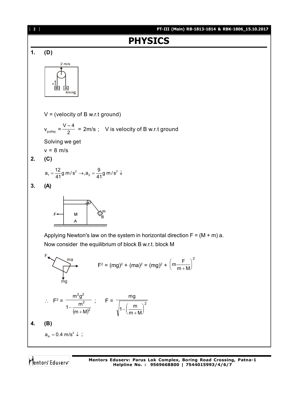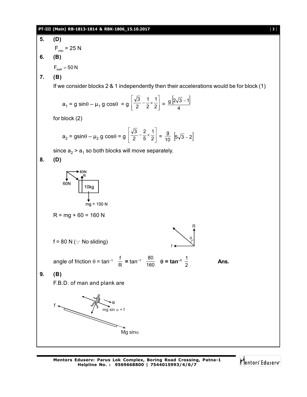#### **PT-III (Main) RB-1813-1814 & RBK-1806\_15.10.2017** [ **3** ]



Mentors Eduserv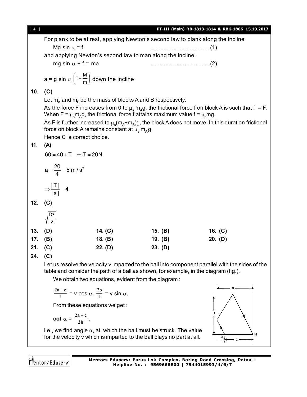[ **4** ] **PT-III (Main) RB-1813-1814 & RBK-1806\_15.10.2017** For plank to be at rest, applying Newton's second law to plank along the incline Mg sin = f ....................................(1) and applying Newton's second law to man along the incline. mg sin + f = ma ....................................(2)  $1+\frac{M}{m}$  down the incline  $\left(1+\frac{M}{m}\right)$  $\left(1+\frac{M}{m}\right)$  $a = g \sin \alpha \left(1 + \frac{m}{m}\right)$  $\backslash$ **10. (C)** Let  $\mathsf{m}_{\textsf{A}}$  and  $\mathsf{m}_{\textsf{B}}$  be the mass of blocks A and B respectively. As the force F increases from 0 to  $\mu_{\rm s}$   $\rm m_{A}$ g, the frictional force f on block A is such that f = F. When F =  $\mu_{\rm s}$ m $_{\rm A}$ g, the frictional force f attains maximum value f =  $\mu_{\rm s}$ mg. As F is further increased to  $\mu_{\rm s}$ (m<sub>A</sub>+m<sub>B</sub>)g, the block A does not move. In this duration frictional force on block A remains constant at  $\mu_{\rm s}^{} \, {\sf m}_{\rm A}^{} {\sf g}.$ Hence C is correct choice. **11. (A)**  $60 = 40 + T \implies T = 20N$  $a = \frac{20}{4} = 5$  m/s<sup>2</sup>  $=\frac{20}{4}$  = 5 4  $\frac{|\top|}{|\cdot|} = 4$  $\Rightarrow \frac{1}{1}$  = | a | **12. (C)** Dλ 2 **13. (D) 14. (C) 15. (B) 16. (C) 17. (B) 18. (B) 19. (B) 20. (D) 21. (C) 22. (D) 23. (D) 24. (C)** Let us resolve the velocity v imparted to the ball into component parallel with the sides of the table and consider the path of a ball as shown, for example, in the diagram (fig.). We obtain two equations, evident from the diagram : a  $\frac{2a-c}{t}$  = v cos  $\alpha$ ,  $\frac{2b}{t}$  $\frac{2b}{t}$  = v sin  $\alpha$ , t From these equations we get : b **cot**  $\alpha = \frac{2a - c}{2b}$ , i.e., we find angle  $\alpha$ , at which the ball must be struck. The value B for the velocity v which is imparted to the ball plays no part at all. $A \rightarrow c$ Mentors Eduserv **Mentors Eduserv: Parus Lok Complex, Boring Road Crossing, Patna-1 Helpline No. : 9569668800 | 7544015993/4/6/7**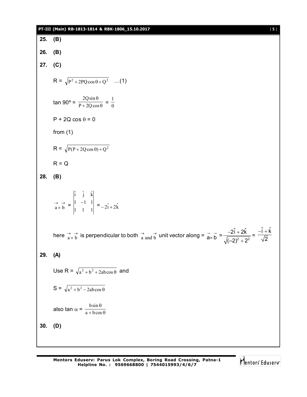#### **PT-III (Main) RB-1813-1814 & RBK-1806\_15.10.2017** [ **5** ]

**25. (B) 26. (B) 27. (C)**  $R = \sqrt{P^2 + 2PQ\cos\theta + Q^2}$  ...(1) tan 90° =  $\frac{1}{P + 2Q\cos\theta}$  $\theta$  $P + 2Q\cos$  $\frac{2Q\sin\theta}{2Q\cos\theta} = \frac{1}{0}$  $P + 2Q \cos \theta = 0$ from (1)  $R = \sqrt{P(P + 2Q\cos\theta) + Q^2}$  $R = Q$ **28. (B)**  $\rightarrow$   $\rightarrow$  $\overrightarrow{a} \times \overrightarrow{b}$  = 1 1 1  $1 -1 1$  $\hat{i}$   $\hat{j}$   $\hat{k}$  $\begin{vmatrix} -1 & 1 \\ 1 & 1 \end{vmatrix}$  =  $-2\hat{i} + 2\hat{k}$ here  $\vec{a} \times \vec{b}$  is perpendicular to both  $\vec{a}$  and  $\vec{b}$  unit vector along =  $\vec{a} \times \vec{b}$  =  $\frac{-21+2\vec{k}}{\sqrt{(-2)^2+2^2}}$  $2\hat{i} + 2\hat{k}$  $(-2)^{2}+2^{2}$  $-2i + 2$  $\ddot{}$ =  $\hat{i} + \hat{k}$ 2  $-i + k$ **29. (A)** Use R =  $\sqrt{a^2 + b^2 + 2ab\cos\theta}$  and  $S = \sqrt{a^2 + b^2} - 2ab\cos\theta$ also tan  $\alpha = \frac{\cos \theta}{a + b \cos \theta}$  $\theta$  $a + b \cos$ bsin **30. (D)**

Mentors Eduserv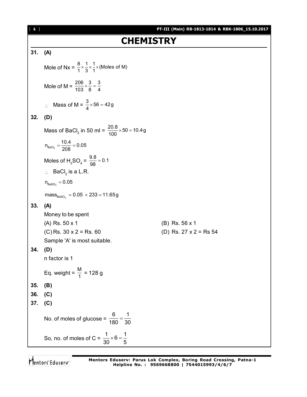## **CHEMISTRY**

### **31. (A)**

Mole of Nx =  $\frac{8}{1} \times \frac{1}{3} \times \frac{1}{1} \times$  (Moles of M) Mole of M =  $\frac{206}{103} \times \frac{3}{8} = \frac{3}{4}$  $\therefore$  Mass of M =  $\frac{3}{4} \times 56 = 42g$ **32. (D)** Mass of BaCl<sub>2</sub> in 50 ml =  $\frac{20.8}{100} \times 50 = 10.4g$  $n_{\text{BaCl}_2} = \frac{10.4}{208} = 0.05$ Moles of H<sub>2</sub>SO<sub>4</sub> =  $\frac{9.8}{98}$  = 0.1  $\therefore$  BaCl<sub>2</sub> is a L.R.  $n_{\scriptscriptstyle \text{BaSO}_4}^{}=0.05$  $\mathsf{mass}_{\mathsf{BasO}_4} = 0.05\,\times 233$  = 11.65<code>g</code> **33. (A)** Money to be spent (A) Rs. 50 x 1 (B) Rs. 56 x 1 (C) Rs.  $30 \times 2 =$  Rs. 60 (D) Rs.  $27 \times 2 =$  Rs 54 Sample 'A' is most suitable. **34. (D)** n factor is 1 Eq. weight =  $\frac{M}{1}$  = 128 g **35. (B) 36. (C) 37. (C)** No. of moles of glucose = 6 1 180 30  $=$ So, no. of moles of C =  $\frac{1}{20} \times 6 = \frac{1}{5}$ 30 5  $\times$  6 = -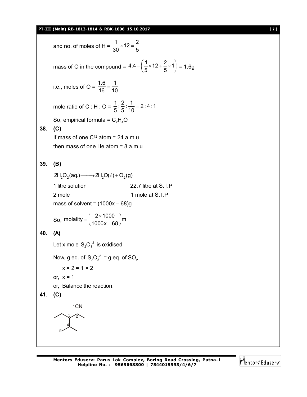#### **PT-III (Main) RB-1813-1814 & RBK-1806\_15.10.2017** [ **7** ]

and no. of moles of H =  $\frac{1}{20} \times 12 = \frac{2}{5}$ 30 5  $\times$  12 =  $\frac{1}{2}$ mass of O in the compound =  $4.4 - \left(\frac{1}{5} \times 12 + \frac{2}{5} \times 1\right)$ 5 5  $-\left(\frac{1}{5}\times 12 + \frac{2}{5}\times 1\right) = 1.6g$ i.e., moles of  $O =$ 1.6 1 16 10  $=$ mole ratio of C : H : O =  $\frac{1}{5}$  :  $\frac{2}{5}$  :  $\frac{1}{40}$  = 2 : 4 : 1 5 5 10  $=$ So, empirical formula =  $C_2H_4O$ **38. (C)** If mass of one  $C^{12}$  atom = 24 a.m.u then mass of one He atom  $= 8$  a.m.u **39. (B)**  $2H_2O_2(aq.) \longrightarrow 2H_2O(\ell) + O_2(q)$ 1 litre solution 22.7 litre at S.T.P 2 mole 2 mole at S.T.P mass of solvent =  $(1000x - 68)g$ So, molality =  $\left(\frac{2 \times 1000}{1000 \times 0.69}\right)$ m  $1000x - 68$  $=\left(\frac{2\times1000}{1000x-68}\right)$ m **40. (A)** Let x mole  $\rm S_2O_8^{-2}$  is oxidised Now, g eq. of  $S_2O_8^{-2} = g$  eq. of  $SO_2$  $x \times 2 = 1 \times 2$ or,  $x = 1$ or, Balance the reaction. **41. (C)** 5 3 4 2 1CN

Mentors Eduserv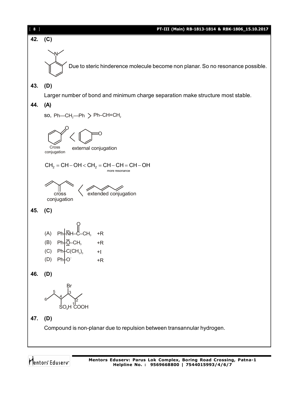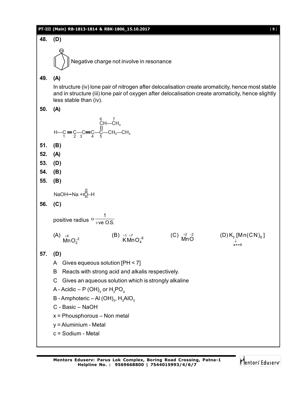#### **PT-III (Main) RB-1813-1814 & RBK-1806\_15.10.2017** [ **9** ]



Mentors<sup>®</sup> Eduserv<sup>®</sup>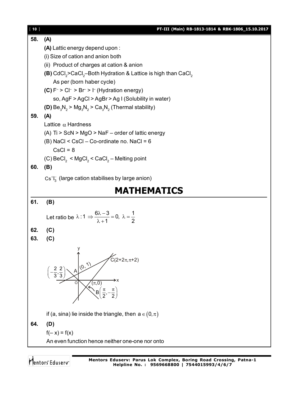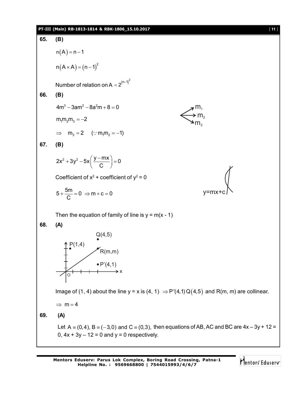#### **PT-III (Main) RB-1813-1814 & RBK-1806\_15.10.2017** [ **11** ]

65. (B)  
\n
$$
n(A) = n - 1
$$
  
\n $n(A \times A) = (n - 1)^2$   
\nNumber of relation on A = 2<sup>(n-1)^2</sup>  
\n66. (B)  
\n $4m^3 - 3am^2 - 8a^2m + 8 = 0$   
\n $m_1m_2m_3 = -2$   
\n $\Rightarrow m_3 = 2$  (∵  $m_1m_2 = -1$ )  
\n67. (B)  
\n $2x^2 + 3y^2 - 5x(\frac{y - mx}{C}) = 0$   
\nCoefficient of x<sup>2</sup> + coefficient of y<sup>2</sup> = 0  
\n $5 + \frac{5m}{C} = 0 \Rightarrow m + c = 0$   
\n $5 + \frac{6m}{C} = 0 \Rightarrow m + c = 0$   
\nThen the equation of family of line is y = m(x - 1)  
\n68. (A)  
\n $Q(4,5)$   
\n $\Rightarrow P(4,1)$   
\n $P(1,4)$   
\n $P(1,4)$   
\n $P(1,1)$   
\n $P(4,1)$   
\n $P(4,1)$   
\n $P(4,1)$   
\n $P(4,1)$   
\n $P(4,1)$   
\n $P(4,1)$   
\n $P(4,1)$   
\n $P(4,1)$   
\n $P(4,1)$   
\n $P(4,1)$   
\n $P(4,1)$   
\n $P(4,1)$   
\n $P(4,1)$   
\n $P(4,1)$   
\n $P(4,1)$   
\n $P(4,1)$   
\n $P(4,1)$   
\n $P(4,1)$   
\n $P(4,1)$   
\n $P(4,1)$   
\n $P(4,1)$   
\n $P(4,1)$   
\n $P(4,1)$   
\n $P(4,1)$   
\n $P(4,1)$   
\n $P(4,1)$   
\n $P(4,1)$   
\n $P(4,1)$   
\n $P(4,1)$ <

Mentors<sup>e</sup> Eduserv<sup>-</sup>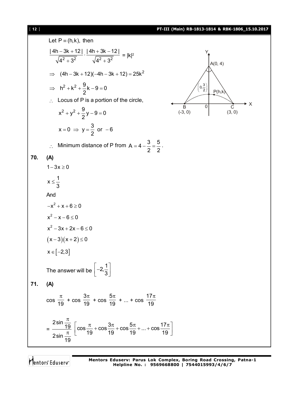#### [ **12** ] **PT-III (Main) RB-1813-1814 & RBK-1806\_15.10.2017**

Let  $P \equiv (h,k)$ , then  $2 + 3^2$   $1/4^2 + 3^2$ | 4h – 3k + 12 | | 4h + 3k – 12 |  $4^2 + 3^2$   $\sqrt{4^2 + 3^2}$  $\frac{-3k+12}{\sqrt{2k+1}}$ .  $\frac{|4h+3k-1|}{\sqrt{2k+1}}$  $+3^2$   $\sqrt{4^2} + 3^2$  $= |k|^2$ A(0, 4) C (3, 0) B (-3, 0)  $\overline{0}$ X Y  $P(h,k)$  $0, \frac{3}{2}$  $\left(0,\frac{3}{2}\right)$  $\implies$   $(4h - 3k + 12)(-4h - 3k + 12) = 25k^2$  $h^2 + k^2 + \frac{9}{6}k - 9 = 0$ 2  $\Rightarrow$  h<sup>2</sup> + k<sup>2</sup> +  $\frac{8}{6}$ k - 9 = 0  $\therefore$  Locus of P is a portion of the circle,  $x^{2} + y^{2} + \frac{9}{2}y - 9 = 0$ 2  $+ y^2 + \frac{9}{2}y - 9 = 0$  $x = 0 \Rightarrow y = \frac{3}{6}$  or  $-6$ 2  $= 0 \Rightarrow y = \frac{6}{2}$  or  $-6$  $\therefore$  Minimum distance of P from A = 4 -  $\frac{3}{8} = \frac{5}{8}$ 2 2  $=4-\frac{6}{6}=\frac{6}{6}$ . **70. (A)**  $1 - 3x \ge 0$  $x \leq \frac{1}{2}$ 3  $\leq$ And  $-x^2 + x + 6 \ge 0$  $x^2 - x - 6 \le 0$  $x^2 - 3x + 2x - 6 \le 0$  $(x-3)(x+2) \le 0$  $x \in [-2,3]$ The answer will be  $2,\frac{1}{2}$ 3  $\left[-2, \frac{1}{3}\right]$ **71. (A)**  $\frac{1}{19}$  $\pi$  + cos 3 19  $\pi$  + cos 5 19  $\pi$  + ... + cos 17 19  $\pi$ = 2sin <u> 19</u> 2sin 19  $\pi$  $\pi$  $\cos \frac{\pi}{12} + \cos \frac{3\pi}{12} + \cos \frac{5\pi}{12} + ... + \cos \frac{17\pi}{12}$ 19 19 19 19  $\left[\cos{\frac{\pi}{19}}+\cos{\frac{3\pi}{19}}+\cos{\frac{5\pi}{19}}+...+\cos{\frac{17\pi}{19}}\right]$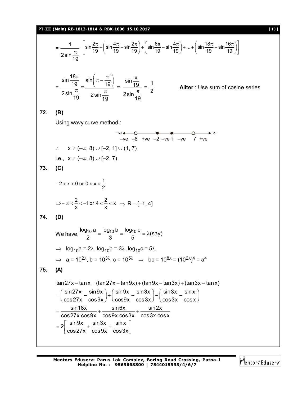#### **PT-III (Main) RB-1813-1814 & RBK-1806\_15.10.2017** [ **13** ]

$$
= \frac{1}{2\sin\frac{\pi}{19}}\left[\sin\frac{2\pi}{19}+\left(\sin\frac{4\pi}{19}-\sin\frac{2\pi}{19}\right)+\left(\sin\frac{6\pi}{19}-\sin\frac{4\pi}{19}\right)+\ldots+\left(\sin\frac{18\pi}{19}-\sin\frac{16\pi}{19}\right)\right]
$$

$$
= \frac{\sin\frac{18\pi}{19}}{2\sin\frac{\pi}{19}} = \frac{\sin\left(\pi - \frac{\pi}{19}\right)}{2\sin\frac{\pi}{19}} = \frac{\sin\frac{\pi}{19}}{2\sin\frac{\pi}{19}} = \frac{1}{2}
$$

**Aliter** : Use sum of cosine series

**72. (B)**

Using wavy curve method :

$$
\begin{array}{cccc}\n-\infty & -\infty & \bullet & \bullet & \bullet & \bullet & \bullet & \bullet \\
\hline\n-\vee e & -8 & +\vee e & -2 & -\vee e & 1 & -\vee e & 7 & +\vee e \\
\therefore & x \in (-\infty, 8) \cup [-2, 1] \cup (1, 7)\n\end{array}
$$

$$
i.e.,\ x\in(-\infty,\,8)\cup[-2,\,7)
$$

 $-2 < x < 0$  or  $0 < x < \frac{1}{2}$ 

**73. (C)**

$$
\Rightarrow -\infty < \frac{2}{x} < -1 \text{ or } 4 < \frac{2}{x} < \infty \Rightarrow R - [-1, 4]
$$

$$
74. (D)
$$

We have,  $\frac{\log_{10} a}{2} = \frac{\log_{10} b}{3} = \frac{\log_{10} c}{5} = \lambda$ (say)  $=\frac{10 \text{ g}}{2} = \frac{10 \text{ g}}{2} = \lambda(3)$ 

⇒ 
$$
\log_{10} a = 2\lambda
$$
,  $\log_{10} b = 3\lambda$ ,  $\log_{10} c = 5\lambda$   
\n⇒  $a = 10^{2\lambda}$ ,  $b = 10^{3\lambda}$ ,  $c = 10^{5\lambda}$  ⇒  $bc = 10^{8\lambda} = (10^{2\lambda})^4 = a^4$ 

**75. (A)**

$$
\tan 27x - \tan x = (\tan 27x - \tan 9x) + (\tan 9x - \tan 3x) + (\tan 3x - \tan x)
$$
\n
$$
= \left(\frac{\sin 27x}{\cos 27x} - \frac{\sin 9x}{\cos 9x}\right) + \left(\frac{\sin 9x}{\cos 9x} - \frac{\sin 3x}{\cos 3x}\right) + \left(\frac{\sin 3x}{\cos 3x} - \frac{\sin x}{\cos x}\right)
$$
\n
$$
= \frac{\sin 18x}{\cos 27x \cdot \cos 9x} + \frac{\sin 6x}{\cos 9x \cdot \cos 3x} + \frac{\sin 2x}{\cos 3x \cdot \cos x}
$$
\n
$$
= 2\left[\frac{\sin 9x}{\cos 27x} + \frac{\sin 3x}{\cos 9x} + \frac{\sin x}{\cos 3x}\right]
$$

Mentors Eduserv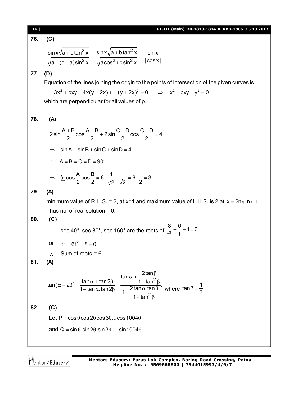76. (C)  
\n
$$
\frac{\sin x \sqrt{a + b \tan^2 x}}{\sqrt{a + (b - a) \sin^2 x}} = \frac{\sin x \sqrt{a + b \tan^2 x}}{\sqrt{a \cos^2 + b \sin^2 x}} = \frac{\sin x}{|\cos x|}
$$
\n77. (D)  
\nEquation of the lines joining the origin to the points of intersection of the given curves is  
\n
$$
3x^2 + pxy - 4x(y + 2x) + 1.(y + 2x)^2 = 0 \implies x^2 - py - y^2 = 0
$$
\nwhich are perpendicular for all values of p.  
\n78. (A)  
\n
$$
2 \sin \frac{A + B}{2} \cos \frac{A - B}{2} + 2 \sin \frac{C + D}{2} \cos \frac{C - D}{2} = 4
$$
\n
$$
\implies \sin A + \sin B + \sin C + \sin D = 4
$$
\n
$$
\therefore A = B = C = D = 90^\circ
$$
\n
$$
\implies \sum \cos \frac{A}{2} \cos \frac{B}{2} = 6 \cdot \frac{1}{\sqrt{2}} \cdot \frac{1}{\sqrt{2}} = 6 \cdot \frac{1}{2} = 3
$$
\n79. (A)  
\nminimum value of R.H.S. = 2, at x=1 and maximum value of L.H.S. is 2 at x = 2n\pi, n \in I  
\nThus no. of real solution = 0.  
\n80. (C)  
\n
$$
\sec 40^\circ, \sec 80^\circ, \sec 160^\circ \text{ are the roots of } \frac{8}{t^3} - \frac{6}{t} + 1 = 0
$$
\nor  $t^3 - 6t^2 + 8 = 0$   
\n
$$
\therefore \text{ Sum of roots} = 6.
$$
\n81. (A)  
\n
$$
\tan (\alpha + 2\beta) = \frac{\tan \alpha + \tan 2\beta}{1 - \tan \alpha \cdot \tan 2\beta} = \frac{\tan \alpha + \frac{2 \tan \beta}{1 - \tan^2 \beta}}{1 - \frac{2 \tan \alpha \cdot \tan \beta}{1 - \tan^2 \beta}}, \text{ where } \tan \beta = \frac{1}{3}.
$$
\n82. (C)  
\nLet P = cos 0 cos 20 cos 30... cos 10040  
\nand Q = sin 0 sin 20 sin 30... sin 10040

Mentors<sup>®</sup> Eduserv<sup>®</sup>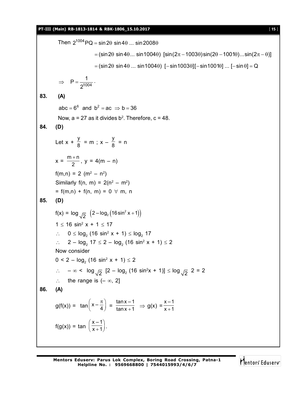Then  $2^{1004}$  PQ = sin 2 $\theta$  sin 4 $\theta$  ... sin 2008 $\theta$  $=$  (sin 2 $\theta$  sin 4 $\theta$ ... sin 1004 $\theta$ ) [sin( $2\pi - 1003\theta$ )sin( $2\theta - 1001\theta$ )...sin( $2\pi - \theta$ )]  $= (\sin 2\theta \sin 4\theta ... \sin 1004\theta)$  [-sin1003 $\theta$ ][-sin1001 $\theta$ ] ... [-sin  $\theta$ ] = Q 1004  $P = \frac{1}{100}$ 2  $\Rightarrow$  P =  $\frac{1}{21004}$ . **83. (A)** abc =  $6^6$  and  $b^2$  = ac  $\Rightarrow$  b = 36 Now,  $a = 27$  as it divides  $b^2$ . Therefore,  $c = 48$ . **84. (D)** Let  $x + \frac{y}{9}$  $\frac{y}{8}$  = m ; x -  $\frac{y}{8}$  $\frac{1}{8}$  = n  $x = \frac{m+n}{2}$  $\frac{1}{2}$ , y = 4(m – n)  $f(m,n) = 2 (m^2 - n^2)$ Similarly f(n, m) =  $2(n^2 - m^2)$  $= f(m,n) + f(n, m) = 0 \forall m, n$ **85. (D)**  $f(x) = \log_{\sqrt{2}} (2 - \log_2(16\sin^2 x + 1))$  $1 \leq 16 \sin^2 x + 1 \leq 17$ ∴ 0 ≤  $log_2$  (16 sin<sup>2</sup> x + 1) ≤  $log_2$  17 ∴ 2 –  $log_2 17 \le 2 - log_2 (16 sin^2 x + 1) \le 2$ Now consider  $0 < 2 - \log_2(16 \sin^2 x + 1) \le 2$ ∴  $-\infty$  <  $\log_{\sqrt{2}}$  [2 –  $\log_2(16 \sin^2 x + 1)$ ] ≤  $\log_{\sqrt{2}}$  2 = 2  $\therefore$  the range is  $(-\infty, 2]$ **86. (A)** g(f(x)) = tan  $\left(x-\frac{\pi}{4}\right) = \frac{\tan x - \tan x}{\tan x + \tan x}$  $\frac{\tan x - 1}{\tan x + 1}$   $\Rightarrow$  g(x)  $= \frac{x - 1}{x + 1}$ x – 1  $x + 1$  $f(g(x)) = \tan \left( \frac{x-1}{x+1} \right).$  $\overline{x+1}$ .

Mentors<sup>®</sup> Eduserv<sup>®</sup>